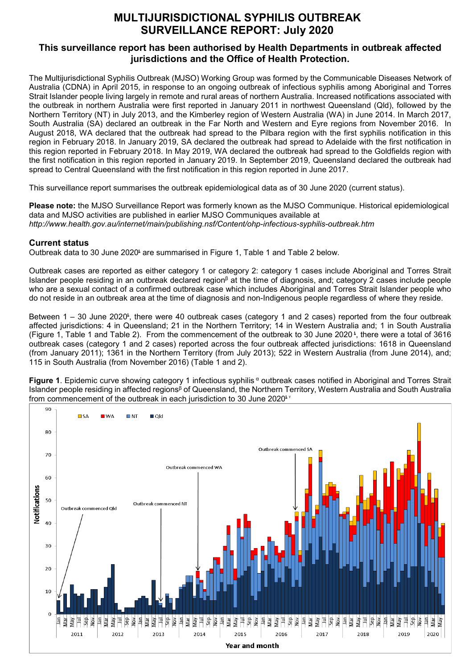## **MULTIJURISDICTIONAL SYPHILIS OUTBREAK SURVEILLANCE REPORT: July 2020**

## **This surveillance report has been authorised by Health Departments in outbreak affected jurisdictions and the Office of Health Protection.**

The Multijurisdictional Syphilis Outbreak (MJSO) Working Group was formed by the Communicable Diseases Network of Australia (CDNA) in April 2015, in response to an ongoing outbreak of infectious syphilis among Aboriginal and Torres Strait Islander people living largely in remote and rural areas of northern Australia. Increased notifications associated with the outbreak in northern Australia were first reported in January 2011 in northwest Queensland (Qld), followed by the Northern Territory (NT) in July 2013, and the Kimberley region of Western Australia (WA) in June 2014. In March 2017, South Australia (SA) declared an outbreak in the Far North and Western and Eyre regions from November 2016. In August 2018, WA declared that the outbreak had spread to the Pilbara region with the first syphilis notification in this region in February 2018. In January 2019, SA declared the outbreak had spread to Adelaide with the first notification in this region reported in February 2018. In May 2019, WA declared the outbreak had spread to the Goldfields region with the first notification in this region reported in January 2019. In September 2019, Queensland declared the outbreak had spread to Central Queensland with the first notification in this region reported in June 2017.

This surveillance report summarises the outbreak epidemiological data as of 30 June 2020 (current status).

**Please note:** the MJSO Surveillance Report was formerly known as the MJSO Communique. Historical epidemiological data and MJSO activities are published in earlier MJSO Communiques available at *http://www.health.gov.au/internet/main/publishing.nsf/Content/ohp-infectious-syphilis-outbreak.htm* 

## **Current status**

Outbreak data to 30 June 2020<sup>\$</sup> are summarised in Figure 1, Table 1 and Table 2 below.

Outbreak cases are reported as either category 1 or category 2: category 1 cases include Aboriginal and Torres Strait Islander people residing in an outbreak declared region<sup>β</sup> at the time of diagnosis, and; category 2 cases include people who are a sexual contact of a confirmed outbreak case which includes Aboriginal and Torres Strait Islander people who do not reside in an outbreak area at the time of diagnosis and non-Indigenous people regardless of where they reside.

Between 1 – 30 June 2020<sup>ȶ</sup> , there were 40 outbreak cases (category 1 and 2 cases) reported from the four outbreak affected jurisdictions: 4 in Queensland; 21 in the Northern Territory; 14 in Western Australia and; 1 in South Australia (Figure 1, Table 1 and Table 2). From the commencement of the outbreak to 30 June 2020 <sup>ȶ</sup> , there were a total of 3616 outbreak cases (category 1 and 2 cases) reported across the four outbreak affected jurisdictions: 1618 in Queensland (from January 2011); 1361 in the Northern Territory (from July 2013); 522 in Western Australia (from June 2014), and; 115 in South Australia (from November 2016) (Table 1 and 2).

Figure 1. Epidemic curve showing category 1 infectious syphilis<sup> α</sup> outbreak cases notified in Aboriginal and Torres Strait Islander people residing in affected regions<sup>β</sup> of Queensland, the Northern Territory, Western Australia and South Australia from commencement of the outbreak in each jurisdiction to 30 June 2020 $\frac{1}{x}$